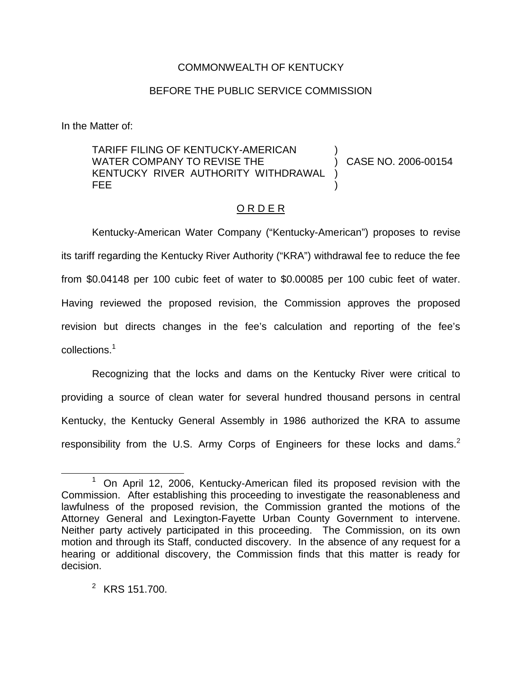## COMMONWEALTH OF KENTUCKY

## BEFORE THE PUBLIC SERVICE COMMISSION

In the Matter of:

TARIFF FILING OF KENTUCKY-AMERICAN WATER COMPANY TO REVISE THE KENTUCKY RIVER AUTHORITY WITHDRAWAL FEE ) ) CASE NO. 2006-00154 ) )

## O R D E R

Kentucky-American Water Company ("Kentucky-American") proposes to revise its tariff regarding the Kentucky River Authority ("KRA") withdrawal fee to reduce the fee from \$0.04148 per 100 cubic feet of water to \$0.00085 per 100 cubic feet of water. Having reviewed the proposed revision, the Commission approves the proposed revision but directs changes in the fee's calculation and reporting of the fee's collections.<sup>1</sup>

Recognizing that the locks and dams on the Kentucky River were critical to providing a source of clean water for several hundred thousand persons in central Kentucky, the Kentucky General Assembly in 1986 authorized the KRA to assume responsibility from the U.S. Army Corps of Engineers for these locks and dams.<sup>2</sup>

 $1$  On April 12, 2006, Kentucky-American filed its proposed revision with the Commission. After establishing this proceeding to investigate the reasonableness and lawfulness of the proposed revision, the Commission granted the motions of the Attorney General and Lexington-Fayette Urban County Government to intervene. Neither party actively participated in this proceeding. The Commission, on its own motion and through its Staff, conducted discovery. In the absence of any request for a hearing or additional discovery, the Commission finds that this matter is ready for decision.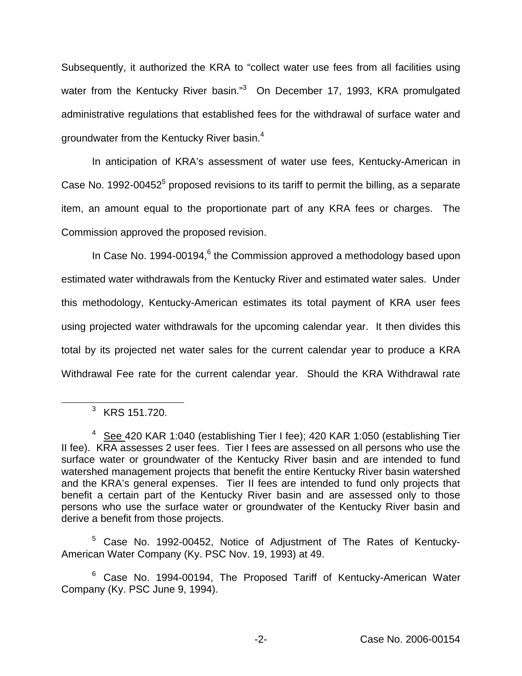Subsequently, it authorized the KRA to "collect water use fees from all facilities using water from the Kentucky River basin."<sup>3</sup> On December 17, 1993, KRA promulgated administrative regulations that established fees for the withdrawal of surface water and groundwater from the Kentucky River basin.4

In anticipation of KRA's assessment of water use fees, Kentucky-American in Case No. 1992-00452 $<sup>5</sup>$  proposed revisions to its tariff to permit the billing, as a separate</sup> item, an amount equal to the proportionate part of any KRA fees or charges. The Commission approved the proposed revision.

In Case No. 1994-00194, $6$  the Commission approved a methodology based upon estimated water withdrawals from the Kentucky River and estimated water sales. Under this methodology, Kentucky-American estimates its total payment of KRA user fees using projected water withdrawals for the upcoming calendar year. It then divides this total by its projected net water sales for the current calendar year to produce a KRA Withdrawal Fee rate for the current calendar year. Should the KRA Withdrawal rate

<sup>5</sup> Case No. 1992-00452, Notice of Adjustment of The Rates of Kentucky-American Water Company (Ky. PSC Nov. 19, 1993) at 49.

<sup>3</sup> KRS 151.720.

<sup>&</sup>lt;sup>4</sup> See 420 KAR 1:040 (establishing Tier I fee); 420 KAR 1:050 (establishing Tier II fee). KRA assesses 2 user fees. Tier I fees are assessed on all persons who use the surface water or groundwater of the Kentucky River basin and are intended to fund watershed management projects that benefit the entire Kentucky River basin watershed and the KRA's general expenses. Tier II fees are intended to fund only projects that benefit a certain part of the Kentucky River basin and are assessed only to those persons who use the surface water or groundwater of the Kentucky River basin and derive a benefit from those projects.

<sup>&</sup>lt;sup>6</sup> Case No. 1994-00194, The Proposed Tariff of Kentucky-American Water Company (Ky. PSC June 9, 1994).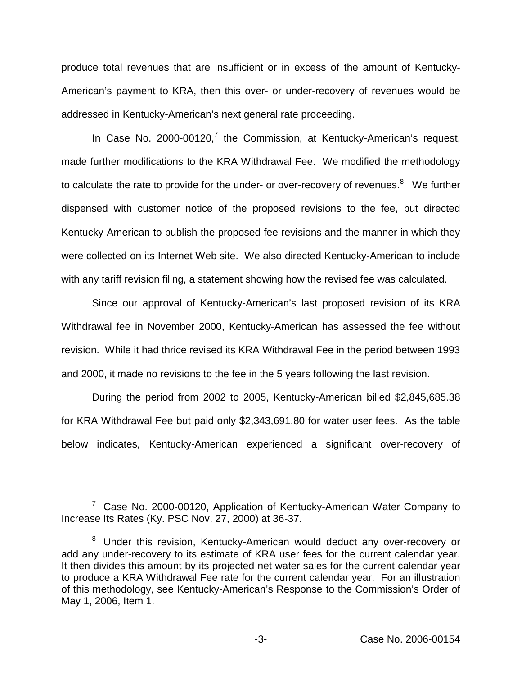produce total revenues that are insufficient or in excess of the amount of Kentucky-American's payment to KRA, then this over- or under-recovery of revenues would be addressed in Kentucky-American's next general rate proceeding.

In Case No. 2000-00120,<sup>7</sup> the Commission, at Kentucky-American's request, made further modifications to the KRA Withdrawal Fee. We modified the methodology to calculate the rate to provide for the under- or over-recovery of revenues.<sup>8</sup> We further dispensed with customer notice of the proposed revisions to the fee, but directed Kentucky-American to publish the proposed fee revisions and the manner in which they were collected on its Internet Web site. We also directed Kentucky-American to include with any tariff revision filing, a statement showing how the revised fee was calculated.

Since our approval of Kentucky-American's last proposed revision of its KRA Withdrawal fee in November 2000, Kentucky-American has assessed the fee without revision. While it had thrice revised its KRA Withdrawal Fee in the period between 1993 and 2000, it made no revisions to the fee in the 5 years following the last revision.

During the period from 2002 to 2005, Kentucky-American billed \$2,845,685.38 for KRA Withdrawal Fee but paid only \$2,343,691.80 for water user fees. As the table below indicates, Kentucky-American experienced a significant over-recovery of

 $7$  Case No. 2000-00120, Application of Kentucky-American Water Company to Increase Its Rates (Ky. PSC Nov. 27, 2000) at 36-37.

<sup>&</sup>lt;sup>8</sup> Under this revision, Kentucky-American would deduct any over-recovery or add any under-recovery to its estimate of KRA user fees for the current calendar year. It then divides this amount by its projected net water sales for the current calendar year to produce a KRA Withdrawal Fee rate for the current calendar year. For an illustration of this methodology, see Kentucky-American's Response to the Commission's Order of May 1, 2006, Item 1.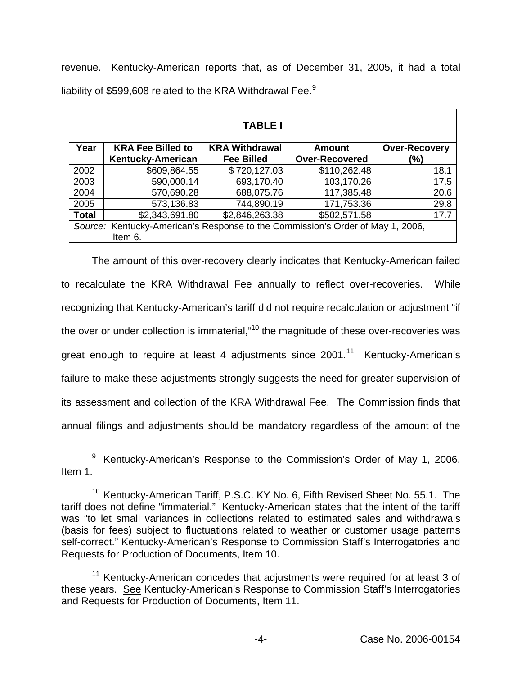revenue. Kentucky-American reports that, as of December 31, 2005, it had a total liability of \$599,608 related to the KRA Withdrawal Fee.<sup>9</sup>

| <b>TABLE I</b>                                                                 |                                                      |                                            |                                 |                             |
|--------------------------------------------------------------------------------|------------------------------------------------------|--------------------------------------------|---------------------------------|-----------------------------|
| Year                                                                           | <b>KRA Fee Billed to</b><br><b>Kentucky-American</b> | <b>KRA Withdrawal</b><br><b>Fee Billed</b> | Amount<br><b>Over-Recovered</b> | <b>Over-Recovery</b><br>(%) |
| 2002                                                                           | \$609,864.55                                         | \$720,127.03                               | \$110,262.48                    | 18.1                        |
| 2003                                                                           | 590,000.14                                           | 693,170.40                                 | 103,170.26                      | 17.5                        |
| 2004                                                                           | 570,690.28                                           | 688,075.76                                 | 117,385.48                      | 20.6                        |
|                                                                                |                                                      |                                            |                                 |                             |
| 2005                                                                           | 573,136.83                                           | 744,890.19                                 | 171,753.36                      | 29.8                        |
| <b>Total</b>                                                                   | \$2,343,691.80                                       | \$2,846,263.38                             | \$502,571.58                    | 17.7                        |
| Source: Kentucky-American's Response to the Commission's Order of May 1, 2006, |                                                      |                                            |                                 |                             |
| Item 6.                                                                        |                                                      |                                            |                                 |                             |

The amount of this over-recovery clearly indicates that Kentucky-American failed to recalculate the KRA Withdrawal Fee annually to reflect over-recoveries. While recognizing that Kentucky-American's tariff did not require recalculation or adjustment "if the over or under collection is immaterial,"<sup>10</sup> the magnitude of these over-recoveries was great enough to require at least 4 adjustments since  $2001$ .<sup>11</sup> Kentucky-American's failure to make these adjustments strongly suggests the need for greater supervision of its assessment and collection of the KRA Withdrawal Fee. The Commission finds that annual filings and adjustments should be mandatory regardless of the amount of the

<sup>9</sup> Kentucky-American's Response to the Commission's Order of May 1, 2006, Item 1.

<sup>&</sup>lt;sup>10</sup> Kentucky-American Tariff, P.S.C. KY No. 6, Fifth Revised Sheet No. 55.1. The tariff does not define "immaterial." Kentucky-American states that the intent of the tariff was "to let small variances in collections related to estimated sales and withdrawals (basis for fees) subject to fluctuations related to weather or customer usage patterns self-correct." Kentucky-American's Response to Commission Staff's Interrogatories and Requests for Production of Documents, Item 10.

<sup>&</sup>lt;sup>11</sup> Kentucky-American concedes that adjustments were required for at least 3 of these years. See Kentucky-American's Response to Commission Staff's Interrogatories and Requests for Production of Documents, Item 11.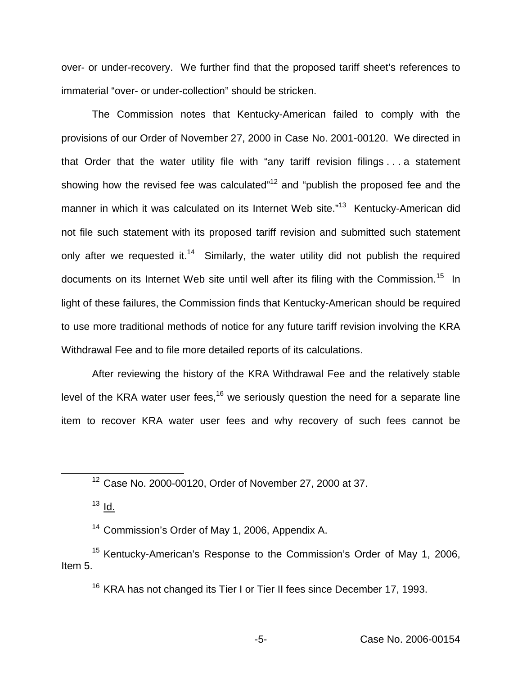over- or under-recovery. We further find that the proposed tariff sheet's references to immaterial "over- or under-collection" should be stricken.

The Commission notes that Kentucky-American failed to comply with the provisions of our Order of November 27, 2000 in Case No. 2001-00120. We directed in that Order that the water utility file with "any tariff revision filings . . . a statement showing how the revised fee was calculated" $12$  and "publish the proposed fee and the manner in which it was calculated on its Internet Web site."<sup>13</sup> Kentucky-American did not file such statement with its proposed tariff revision and submitted such statement only after we requested it.<sup>14</sup> Similarly, the water utility did not publish the required documents on its Internet Web site until well after its filing with the Commission.<sup>15</sup> In light of these failures, the Commission finds that Kentucky-American should be required to use more traditional methods of notice for any future tariff revision involving the KRA Withdrawal Fee and to file more detailed reports of its calculations.

After reviewing the history of the KRA Withdrawal Fee and the relatively stable level of the KRA water user fees,<sup>16</sup> we seriously question the need for a separate line item to recover KRA water user fees and why recovery of such fees cannot be

 $13$   $\underline{Id}$ .

<sup>14</sup> Commission's Order of May 1, 2006, Appendix A.

<sup>15</sup> Kentucky-American's Response to the Commission's Order of May 1, 2006, Item 5.

<sup>16</sup> KRA has not changed its Tier I or Tier II fees since December 17, 1993.

<sup>12</sup> Case No. 2000-00120, Order of November 27, 2000 at 37.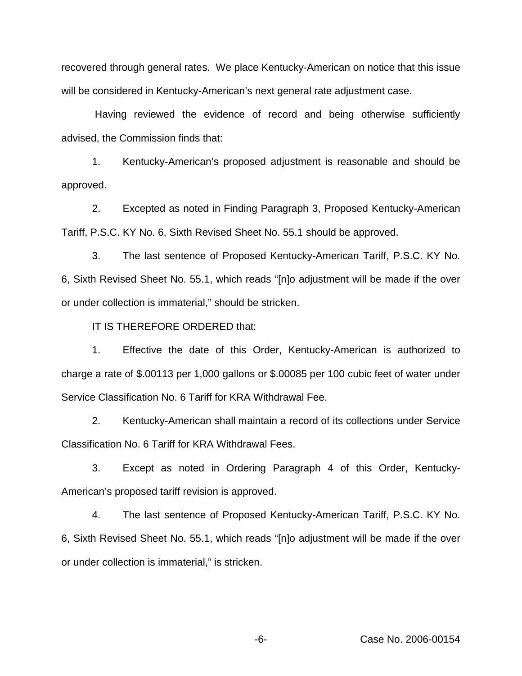recovered through general rates. We place Kentucky-American on notice that this issue will be considered in Kentucky-American's next general rate adjustment case.

Having reviewed the evidence of record and being otherwise sufficiently advised, the Commission finds that:

1. Kentucky-American's proposed adjustment is reasonable and should be approved.

2. Excepted as noted in Finding Paragraph 3, Proposed Kentucky-American Tariff, P.S.C. KY No. 6, Sixth Revised Sheet No. 55.1 should be approved.

3. The last sentence of Proposed Kentucky-American Tariff, P.S.C. KY No. 6, Sixth Revised Sheet No. 55.1, which reads "[n]o adjustment will be made if the over or under collection is immaterial," should be stricken.

IT IS THEREFORE ORDERED that:

1. Effective the date of this Order, Kentucky-American is authorized to charge a rate of \$.00113 per 1,000 gallons or \$.00085 per 100 cubic feet of water under Service Classification No. 6 Tariff for KRA Withdrawal Fee.

2. Kentucky-American shall maintain a record of its collections under Service Classification No. 6 Tariff for KRA Withdrawal Fees.

3. Except as noted in Ordering Paragraph 4 of this Order, Kentucky-American's proposed tariff revision is approved.

4. The last sentence of Proposed Kentucky-American Tariff, P.S.C. KY No. 6, Sixth Revised Sheet No. 55.1, which reads "[n]o adjustment will be made if the over or under collection is immaterial," is stricken.

-6- Case No. 2006-00154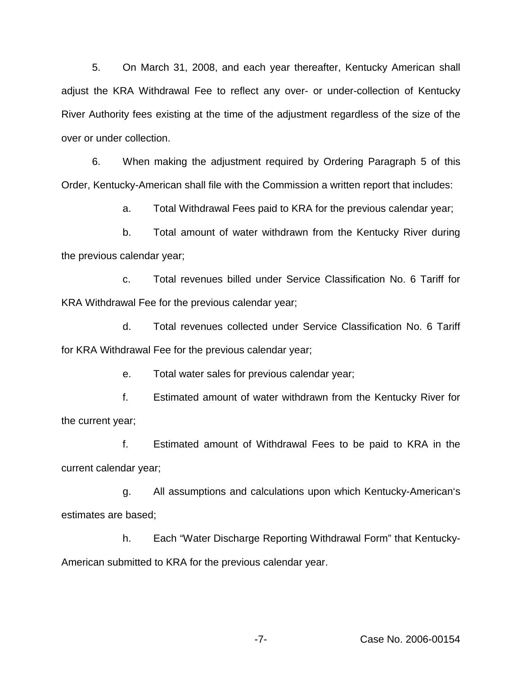5. On March 31, 2008, and each year thereafter, Kentucky American shall adjust the KRA Withdrawal Fee to reflect any over- or under-collection of Kentucky River Authority fees existing at the time of the adjustment regardless of the size of the over or under collection.

6. When making the adjustment required by Ordering Paragraph 5 of this Order, Kentucky-American shall file with the Commission a written report that includes:

a. Total Withdrawal Fees paid to KRA for the previous calendar year;

b. Total amount of water withdrawn from the Kentucky River during the previous calendar year;

c. Total revenues billed under Service Classification No. 6 Tariff for KRA Withdrawal Fee for the previous calendar year;

d. Total revenues collected under Service Classification No. 6 Tariff for KRA Withdrawal Fee for the previous calendar year;

e. Total water sales for previous calendar year;

f. Estimated amount of water withdrawn from the Kentucky River for the current year;

f. Estimated amount of Withdrawal Fees to be paid to KRA in the current calendar year;

g. All assumptions and calculations upon which Kentucky-American's estimates are based;

h. Each "Water Discharge Reporting Withdrawal Form" that Kentucky-American submitted to KRA for the previous calendar year.